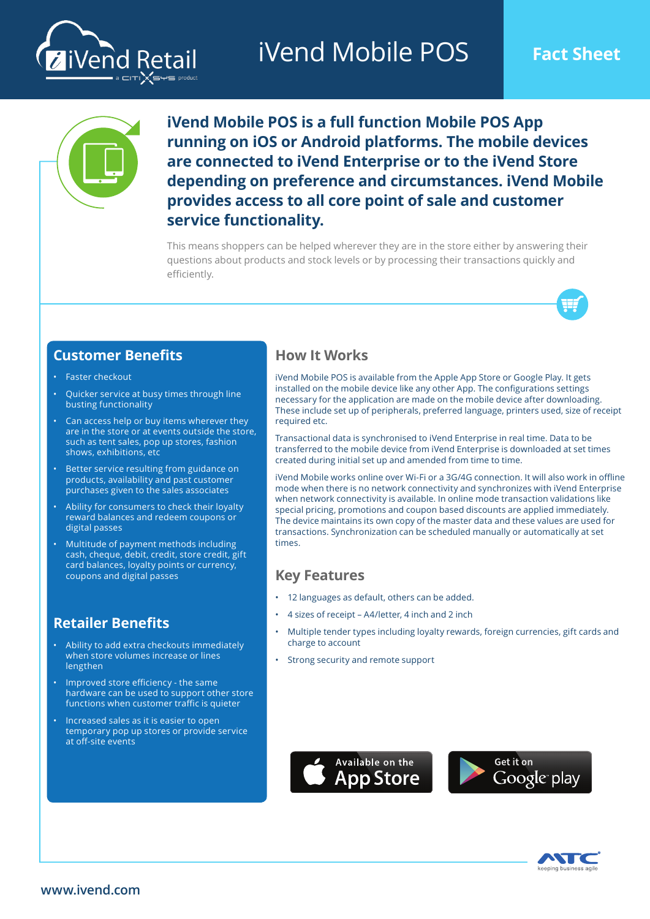# **iVend Mobile POS** Fact Sheet





**iVend Mobile POS is a full function Mobile POS App running on iOS or Android platforms. The mobile devices are connected to iVend Enterprise or to the iVend Store depending on preference and circumstances. iVend Mobile provides access to all core point of sale and customer service functionality.** 

This means shoppers can be helped wherever they are in the store either by answering their questions about products and stock levels or by processing their transactions quickly and efficiently.



## **Customer Benefits**

- Faster checkout
- Quicker service at busy times through line busting functionality
- Can access help or buy items wherever they are in the store or at events outside the store, such as tent sales, pop up stores, fashion shows, exhibitions, etc
- Better service resulting from guidance on products, availability and past customer purchases given to the sales associates
- Ability for consumers to check their loyalty reward balances and redeem coupons or digital passes
- Multitude of payment methods including cash, cheque, debit, credit, store credit, gift card balances, loyalty points or currency, coupons and digital passes

## **Retailer Benefits**

- Ability to add extra checkouts immediately when store volumes increase or lines lengthen
- Improved store efficiency the same hardware can be used to support other store functions when customer traffic is quieter
- Increased sales as it is easier to open temporary pop up stores or provide service at off-site events

## **How It Works**

iVend Mobile POS is available from the Apple App Store or Google Play. It gets installed on the mobile device like any other App. The configurations settings necessary for the application are made on the mobile device after downloading. These include set up of peripherals, preferred language, printers used, size of receipt required etc.

Transactional data is synchronised to iVend Enterprise in real time. Data to be transferred to the mobile device from iVend Enterprise is downloaded at set times created during initial set up and amended from time to time.

iVend Mobile works online over Wi-Fi or a 3G/4G connection. It will also work in offline mode when there is no network connectivity and synchronizes with iVend Enterprise when network connectivity is available. In online mode transaction validations like special pricing, promotions and coupon based discounts are applied immediately. The device maintains its own copy of the master data and these values are used for transactions. Synchronization can be scheduled manually or automatically at set times.

## **Key Features**

- 12 languages as default, others can be added.
- 4 sizes of receipt A4/letter, 4 inch and 2 inch
- Multiple tender types including loyalty rewards, foreign currencies, gift cards and charge to account
- Strong security and remote support